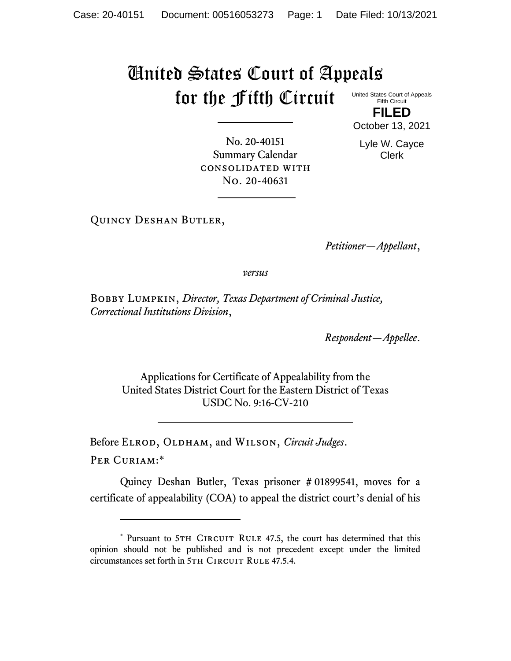## United States Court of Appeals for the Fifth Circuit United States Court of Appeals

Fifth Circuit **FILED**

October 13, 2021

Lyle W. Cayce

No. 20-40151 Summary Calendar consolidated with No. 20-40631

Clerk

Quincy Deshan Butler,

*Petitioner—Appellant*,

*versus*

Bobby Lumpkin, *Director, Texas Department of Criminal Justice, Correctional Institutions Division*,

*Respondent—Appellee*.

Applications for Certificate of Appealability from the United States District Court for the Eastern District of Texas USDC No. 9:16-CV-210

Before ELROD, OLDHAM, and WILSON, *Circuit Judges*. Per Curiam:\*

Quincy Deshan Butler, Texas prisoner # 01899541, moves for a certificate of appealability (COA) to appeal the district court's denial of his

<sup>\*</sup> Pursuant to 5TH CIRCUIT RULE 47.5, the court has determined that this opinion should not be published and is not precedent except under the limited circumstances set forth in 5TH CIRCUIT RULE 47.5.4.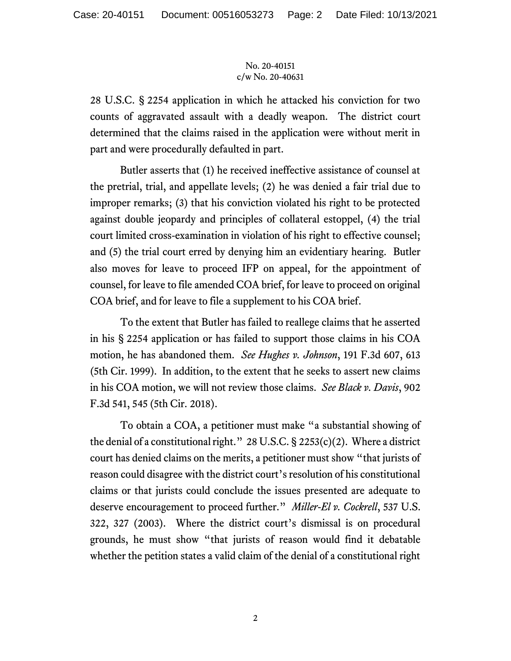## No. 20-40151 c/w No. 20-40631

28 U.S.C. § 2254 application in which he attacked his conviction for two counts of aggravated assault with a deadly weapon. The district court determined that the claims raised in the application were without merit in part and were procedurally defaulted in part.

Butler asserts that (1) he received ineffective assistance of counsel at the pretrial, trial, and appellate levels; (2) he was denied a fair trial due to improper remarks; (3) that his conviction violated his right to be protected against double jeopardy and principles of collateral estoppel, (4) the trial court limited cross-examination in violation of his right to effective counsel; and (5) the trial court erred by denying him an evidentiary hearing. Butler also moves for leave to proceed IFP on appeal, for the appointment of counsel, for leave to file amended COA brief, for leave to proceed on original COA brief, and for leave to file a supplement to his COA brief.

To the extent that Butler has failed to reallege claims that he asserted in his § 2254 application or has failed to support those claims in his COA motion, he has abandoned them. *See Hughes v. Johnson*, 191 F.3d 607, 613 (5th Cir. 1999). In addition, to the extent that he seeks to assert new claims in his COA motion, we will not review those claims. *See Black v. Davis*, 902 F.3d 541, 545 (5th Cir. 2018).

To obtain a COA, a petitioner must make "a substantial showing of the denial of a constitutional right." 28 U.S.C.  $\S$  2253(c)(2). Where a district court has denied claims on the merits, a petitioner must show "that jurists of reason could disagree with the district court's resolution of his constitutional claims or that jurists could conclude the issues presented are adequate to deserve encouragement to proceed further." *Miller-El v. Cockrell*, 537 U.S. 322, 327 (2003). Where the district court's dismissal is on procedural grounds, he must show "that jurists of reason would find it debatable whether the petition states a valid claim of the denial of a constitutional right